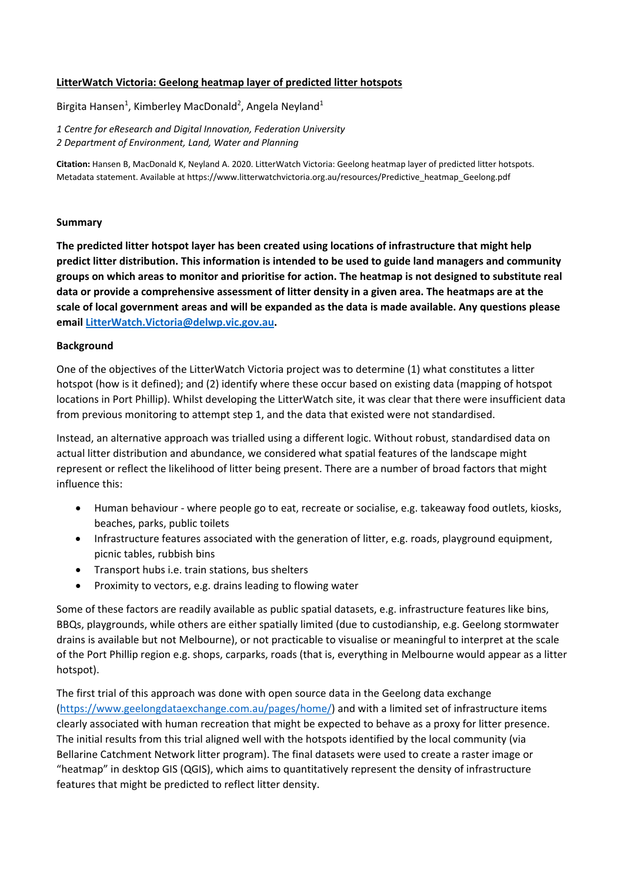## **LitterWatch Victoria: Geelong heatmap layer of predicted litter hotspots**

Birgita Hansen<sup>1</sup>, Kimberley MacDonald<sup>2</sup>, Angela Neyland<sup>1</sup>

*1 Centre for eResearch and Digital Innovation, Federation University 2 Department of Environment, Land, Water and Planning*

**Citation:** Hansen B, MacDonald K, Neyland A. 2020. LitterWatch Victoria: Geelong heatmap layer of predicted litter hotspots. Metadata statement. Available at https://www.litterwatchvictoria.org.au/resources/Predictive\_heatmap\_Geelong.pdf

## **Summary**

**The predicted litter hotspot layer has been created using locations of infrastructure that might help predict litter distribution. This information is intended to be used to guide land managers and community** groups on which areas to monitor and prioritise for action. The heatmap is not designed to substitute real data or provide a comprehensive assessment of litter density in a given area. The heatmaps are at the scale of local government areas and will be expanded as the data is made available. Any questions please **email LitterWatch.Victoria@delwp.vic.gov.au.**

#### **Background**

One of the objectives of the LitterWatch Victoria project was to determine (1) what constitutes a litter hotspot (how is it defined); and (2) identify where these occur based on existing data (mapping of hotspot locations in Port Phillip). Whilst developing the LitterWatch site, it was clear that there were insufficient data from previous monitoring to attempt step 1, and the data that existed were not standardised.

Instead, an alternative approach was trialled using a different logic. Without robust, standardised data on actual litter distribution and abundance, we considered what spatial features of the landscape might represent or reflect the likelihood of litter being present. There are a number of broad factors that might influence this:

- Human behaviour where people go to eat, recreate or socialise, e.g. takeaway food outlets, kiosks, beaches, parks, public toilets
- Infrastructure features associated with the generation of litter, e.g. roads, playground equipment, picnic tables, rubbish bins
- Transport hubs i.e. train stations, bus shelters
- Proximity to vectors, e.g. drains leading to flowing water

Some of these factors are readily available as public spatial datasets, e.g. infrastructure features like bins, BBQs, playgrounds, while others are either spatially limited (due to custodianship, e.g. Geelong stormwater drains is available but not Melbourne), or not practicable to visualise or meaningful to interpret at the scale of the Port Phillip region e.g. shops, carparks, roads (that is, everything in Melbourne would appear as a litter hotspot).

The first trial of this approach was done with open source data in the Geelong data exchange (https://www.geelongdataexchange.com.au/pages/home/) and with a limited set of infrastructure items clearly associated with human recreation that might be expected to behave as a proxy for litter presence. The initial results from this trial aligned well with the hotspots identified by the local community (via Bellarine Catchment Network litter program). The final datasets were used to create a raster image or "heatmap" in desktop GIS (QGIS), which aims to quantitatively represent the density of infrastructure features that might be predicted to reflect litter density.